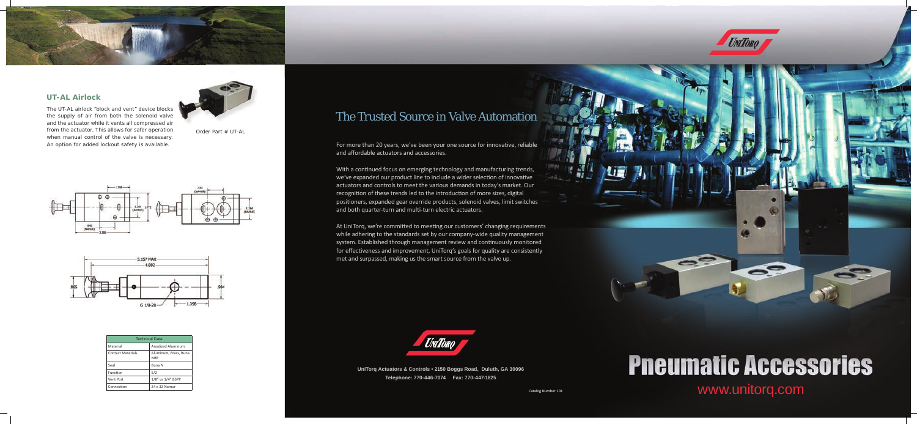www.unitorq.com

At UniTorq, we're committed to meeting our customers' changing requirements while adhering to the standards set by our company-wide quality management system. Established through management review and continuously monitored for effectiveness and improvement, UniTorq's goals for quality are consistently met and surpassed, making us the smart source from the valve up.



## The Trusted Source in Valve Automation

For more than 20 years, we've been your one source for innovative, reliable and affordable actuators and accessories.

With a continued focus on emerging technology and manufacturing trends, we've expanded our product line to include a wider selection of innovative actuators and controls to meet the various demands in today's market. Our recognition of these trends led to the introduction of more sizes, digital positioners, expanded gear override products, solenoid valves, limit switches and both quarter-turn and multi-turn electric actuators.

> **UniTorq Actuators & Controls • 2150 Boggs Road, Duluth, GA 30096 Telephone: 770-446-7074 Fax: 770-447-1825**



# **Pneumatic Accessories**

69

Catalog Number 101

The UT-AL airlock "block and vent" device blocks the supply of air from both the solenoid valve and the actuator while it vents all compressed air from the actuator. This allows for safer operation when manual control of the valve is necessary. An option for added lockout safety is available.



Order Part # UT-AL







### *UT-AL Airlock*

| <b>Technical Data</b>    |                                     |  |
|--------------------------|-------------------------------------|--|
| Material                 | Anodized Aluminum                   |  |
| <b>Contact Materials</b> | Aluminum, Brass, Buna<br><b>NBR</b> |  |
| Seal                     | <b>Buna N</b>                       |  |
| Function                 | 5/2                                 |  |
| Vent Port                | 1/8" or 1/4" BSPP                   |  |
| Connection               | 24 x 32 Namur                       |  |